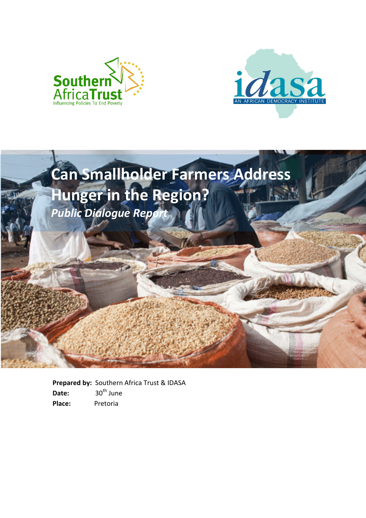





**Prepared by:** Southern Africa Trust & IDASA Date: 30<sup>th</sup> June **Place:** Pretoria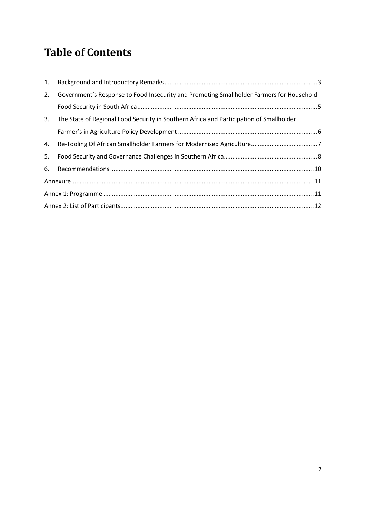#### <span id="page-1-0"></span>**Table of Contents**

| 2. | Government's Response to Food Insecurity and Promoting Smallholder Farmers for Household |  |  |  |
|----|------------------------------------------------------------------------------------------|--|--|--|
|    |                                                                                          |  |  |  |
| 3. | The State of Regional Food Security in Southern Africa and Participation of Smallholder  |  |  |  |
|    |                                                                                          |  |  |  |
|    |                                                                                          |  |  |  |
| 5. |                                                                                          |  |  |  |
|    |                                                                                          |  |  |  |
|    |                                                                                          |  |  |  |
|    |                                                                                          |  |  |  |
|    |                                                                                          |  |  |  |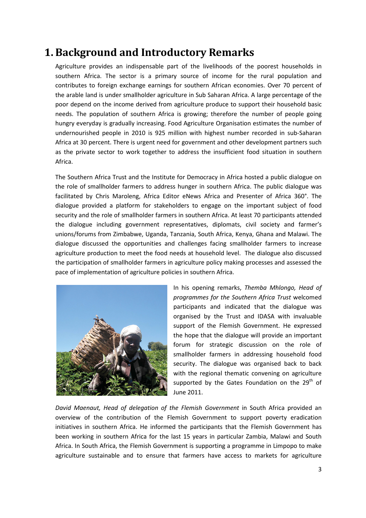#### <span id="page-2-0"></span>**1. Background and Introductory Remarks**

Agriculture provides an indispensable part of the livelihoods of the poorest households in southern Africa. The sector is a primary source of income for the rural population and contributes to foreign exchange earnings for southern African economies. Over 70 percent of the arable land is under smallholder agriculture in Sub Saharan Africa. A large percentage of the poor depend on the income derived from agriculture produce to support their household basic needs. The population of southern Africa is growing; therefore the number of people going hungry everyday is gradually increasing. Food Agriculture Organisation estimates the number of undernourished people in 2010 is 925 million with highest number recorded in sub-Saharan Africa at 30 percent. There is urgent need for government and other development partners such as the private sector to work together to address the insufficient food situation in southern Africa.

The Southern Africa Trust and the Institute for Democracy in Africa hosted a public dialogue on the role of smallholder farmers to address hunger in southern Africa. The public dialogue was facilitated by Chris Maroleng, Africa Editor eNews Africa and Presenter of Africa 360°. The dialogue provided a platform for stakeholders to engage on the important subject of food security and the role of smallholder farmers in southern Africa. At least 70 participants attended the dialogue including government representatives, diplomats, civil society and farmer's unions/forums from Zimbabwe, Uganda, Tanzania, South Africa, Kenya, Ghana and Malawi. The dialogue discussed the opportunities and challenges facing smallholder farmers to increase agriculture production to meet the food needs at household level. The dialogue also discussed the participation of smallholder farmers in agriculture policy making processes and assessed the pace of implementation of agriculture policies in southern Africa.



In his opening remarks, *Themba Mhlongo, Head of programmes for the Southern Africa Trust* welcomed participants and indicated that the dialogue was organised by the Trust and IDASA with invaluable support of the Flemish Government. He expressed the hope that the dialogue will provide an important forum for strategic discussion on the role of smallholder farmers in addressing household food security. The dialogue was organised back to back with the regional thematic convening on agriculture supported by the Gates Foundation on the  $29<sup>th</sup>$  of June 2011.

*David Maenaut, Head of delegation of the Flemish Government* in South Africa provided an overview of the contribution of the Flemish Government to support poverty eradication initiatives in southern Africa. He informed the participants that the Flemish Government has been working in southern Africa for the last 15 years in particular Zambia, Malawi and South Africa. In South Africa, the Flemish Government is supporting a programme in Limpopo to make agriculture sustainable and to ensure that farmers have access to markets for agriculture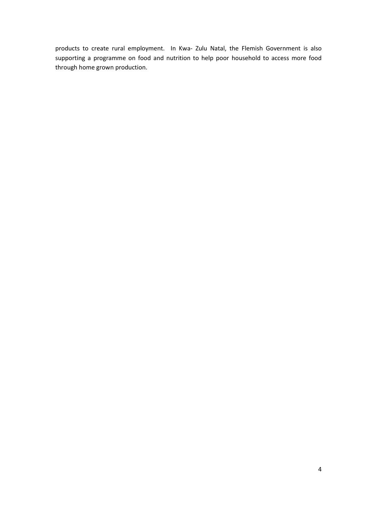products to create rural employment. In Kwa- Zulu Natal, the Flemish Government is also supporting a programme on food and nutrition to help poor household to access more food through home grown production.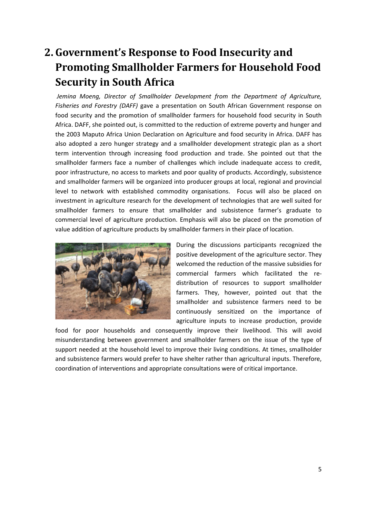### <span id="page-4-0"></span>**2. Government's Response to Food Insecurity and Promoting Smallholder Farmers for Household Food Security in South Africa**

*Jemina Moeng, Director of Smallholder Development from the Department of Agriculture, Fisheries and Forestry (DAFF)* gave a presentation on South African Government response on food security and the promotion of smallholder farmers for household food security in South Africa. DAFF, she pointed out, is committed to the reduction of extreme poverty and hunger and the 2003 Maputo Africa Union Declaration on Agriculture and food security in Africa. DAFF has also adopted a zero hunger strategy and a smallholder development strategic plan as a short term intervention through increasing food production and trade. She pointed out that the smallholder farmers face a number of challenges which include inadequate access to credit, poor infrastructure, no access to markets and poor quality of products. Accordingly, subsistence and smallholder farmers will be organized into producer groups at local, regional and provincial level to network with established commodity organisations. Focus will also be placed on investment in agriculture research for the development of technologies that are well suited for smallholder farmers to ensure that smallholder and subsistence farmer's graduate to commercial level of agriculture production. Emphasis will also be placed on the promotion of value addition of agriculture products by smallholder farmers in their place of location.



During the discussions participants recognized the positive development of the agriculture sector. They welcomed the reduction of the massive subsidies for commercial farmers which facilitated the redistribution of resources to support smallholder farmers. They, however, pointed out that the smallholder and subsistence farmers need to be continuously sensitized on the importance of agriculture inputs to increase production, provide

food for poor households and consequently improve their livelihood. This will avoid misunderstanding between government and smallholder farmers on the issue of the type of support needed at the household level to improve their living conditions. At times, smallholder and subsistence farmers would prefer to have shelter rather than agricultural inputs. Therefore, coordination of interventions and appropriate consultations were of critical importance.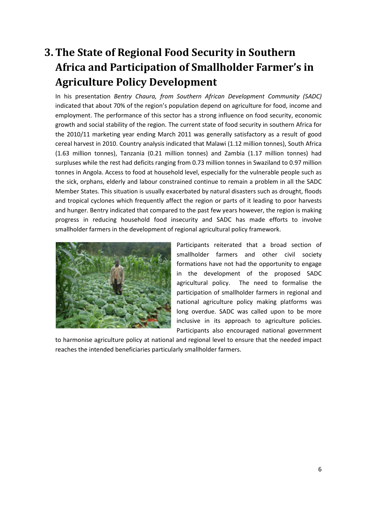### <span id="page-5-0"></span>**3. The State of Regional Food Security in Southern Africa and Participation of Smallholder Farmer's in Agriculture Policy Development**

In his presentation *Bentry Chaura, from Southern African Development Community (SADC)* indicated that about 70% of the region's population depend on agriculture for food, income and employment. The performance of this sector has a strong influence on food security, economic growth and social stability of the region. The current state of food security in southern Africa for the 2010/11 marketing year ending March 2011 was generally satisfactory as a result of good cereal harvest in 2010. Country analysis indicated that Malawi (1.12 million tonnes), South Africa (1.63 million tonnes), Tanzania (0.21 million tonnes) and Zambia (1.17 million tonnes) had surpluses while the rest had deficits ranging from 0.73 million tonnes in Swaziland to 0.97 million tonnes in Angola. Access to food at household level, especially for the vulnerable people such as the sick, orphans, elderly and labour constrained continue to remain a problem in all the SADC Member States. This situation is usually exacerbated by natural disasters such as drought, floods and tropical cyclones which frequently affect the region or parts of it leading to poor harvests and hunger. Bentry indicated that compared to the past few years however, the region is making progress in reducing household food insecurity and SADC has made efforts to involve smallholder farmers in the development of regional agricultural policy framework.



Participants reiterated that a broad section of smallholder farmers and other civil society formations have not had the opportunity to engage in the development of the proposed SADC agricultural policy. The need to formalise the participation of smallholder farmers in regional and national agriculture policy making platforms was long overdue. SADC was called upon to be more inclusive in its approach to agriculture policies. Participants also encouraged national government

to harmonise agriculture policy at national and regional level to ensure that the needed impact reaches the intended beneficiaries particularly smallholder farmers.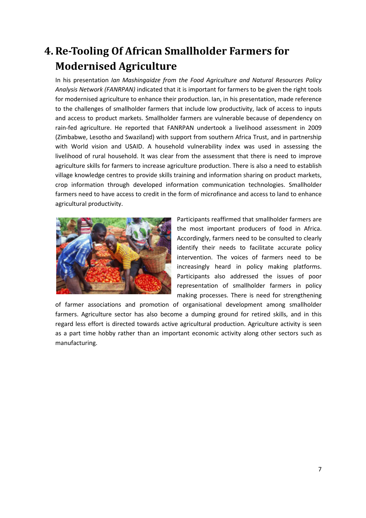#### <span id="page-6-0"></span>**4. Re-Tooling Of African Smallholder Farmers for Modernised Agriculture**

In his presentation *Ian Mashingaidze from the Food Agriculture and Natural Resources Policy Analysis Network (FANRPAN)* indicated that it is important for farmers to be given the right tools for modernised agriculture to enhance their production. Ian, in his presentation, made reference to the challenges of smallholder farmers that include low productivity, lack of access to inputs and access to product markets. Smallholder farmers are vulnerable because of dependency on rain-fed agriculture. He reported that FANRPAN undertook a livelihood assessment in 2009 (Zimbabwe, Lesotho and Swaziland) with support from southern Africa Trust, and in partnership with World vision and USAID. A household vulnerability index was used in assessing the livelihood of rural household. It was clear from the assessment that there is need to improve agriculture skills for farmers to increase agriculture production. There is also a need to establish village knowledge centres to provide skills training and information sharing on product markets, crop information through developed information communication technologies. Smallholder farmers need to have access to credit in the form of microfinance and access to land to enhance agricultural productivity.



Participants reaffirmed that smallholder farmers are the most important producers of food in Africa. Accordingly, farmers need to be consulted to clearly identify their needs to facilitate accurate policy intervention. The voices of farmers need to be increasingly heard in policy making platforms. Participants also addressed the issues of poor representation of smallholder farmers in policy making processes. There is need for strengthening

of farmer associations and promotion of organisational development among smallholder farmers. Agriculture sector has also become a dumping ground for retired skills, and in this regard less effort is directed towards active agricultural production. Agriculture activity is seen as a part time hobby rather than an important economic activity along other sectors such as manufacturing.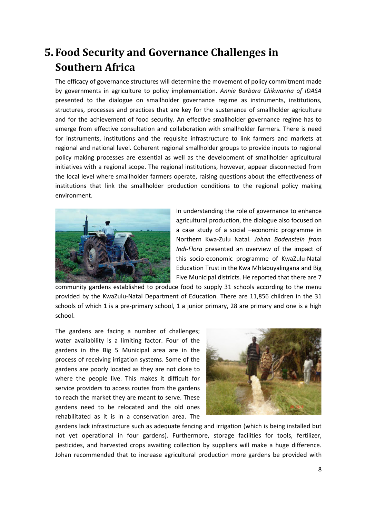#### <span id="page-7-0"></span>**5. Food Security and Governance Challenges in Southern Africa**

The efficacy of governance structures will determine the movement of policy commitment made by governments in agriculture to policy implementation. *Annie Barbara Chikwanha of IDASA* presented to the dialogue on smallholder governance regime as instruments, institutions, structures, processes and practices that are key for the sustenance of smallholder agriculture and for the achievement of food security. An effective smallholder governance regime has to emerge from effective consultation and collaboration with smallholder farmers. There is need for instruments, institutions and the requisite infrastructure to link farmers and markets at regional and national level. Coherent regional smallholder groups to provide inputs to regional policy making processes are essential as well as the development of smallholder agricultural initiatives with a regional scope. The regional institutions, however, appear disconnected from the local level where smallholder farmers operate, raising questions about the effectiveness of institutions that link the smallholder production conditions to the regional policy making environment.



In understanding the role of governance to enhance agricultural production, the dialogue also focused on a case study of a social –economic programme in Northern Kwa-Zulu Natal. *Johan Bodenstein from Indi-Flora* presented an overview of the impact of this socio-economic programme of KwaZulu-Natal Education Trust in the Kwa Mhlabuyalingana and Big Five Municipal districts. He reported that there are 7

community gardens established to produce food to supply 31 schools according to the menu provided by the KwaZulu-Natal Department of Education. There are 11,856 children in the 31 schools of which 1 is a pre-primary school, 1 a junior primary, 28 are primary and one is a high school.

The gardens are facing a number of challenges; water availability is a limiting factor. Four of the gardens in the Big 5 Municipal area are in the process of receiving irrigation systems. Some of the gardens are poorly located as they are not close to where the people live. This makes it difficult for service providers to access routes from the gardens to reach the market they are meant to serve. These gardens need to be relocated and the old ones rehabilitated as it is in a conservation area. The



gardens lack infrastructure such as adequate fencing and irrigation (which is being installed but not yet operational in four gardens). Furthermore, storage facilities for tools, fertilizer, pesticides, and harvested crops awaiting collection by suppliers will make a huge difference. Johan recommended that to increase agricultural production more gardens be provided with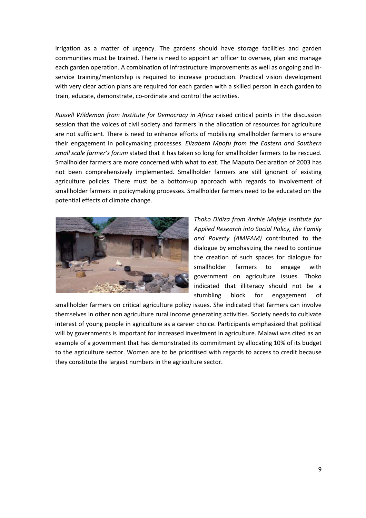irrigation as a matter of urgency. The gardens should have storage facilities and garden communities must be trained. There is need to appoint an officer to oversee, plan and manage each garden operation. A combination of infrastructure improvements as well as ongoing and inservice training/mentorship is required to increase production. Practical vision development with very clear action plans are required for each garden with a skilled person in each garden to train, educate, demonstrate, co-ordinate and control the activities.

*Russell Wildeman from Institute for Democracy in Africa* raised critical points in the discussion session that the voices of civil society and farmers in the allocation of resources for agriculture are not sufficient. There is need to enhance efforts of mobilising smallholder farmers to ensure their engagement in policymaking processes. *Elizabeth Mpofu from the Eastern and Southern small scale farmer's forum* stated that it has taken so long for smallholder farmers to be rescued. Smallholder farmers are more concerned with what to eat. The Maputo Declaration of 2003 has not been comprehensively implemented. Smallholder farmers are still ignorant of existing agriculture policies. There must be a bottom-up approach with regards to involvement of smallholder farmers in policymaking processes. Smallholder farmers need to be educated on the potential effects of climate change.



*Thoko Didiza from Archie Mafeje Institute for Applied Research into Social Policy, the Family and Poverty (AMIFAM)* contributed to the dialogue by emphasizing the need to continue the creation of such spaces for dialogue for smallholder farmers to engage with government on agriculture issues. Thoko indicated that illiteracy should not be a stumbling block for engagement of

smallholder farmers on critical agriculture policy issues. She indicated that farmers can involve themselves in other non agriculture rural income generating activities. Society needs to cultivate interest of young people in agriculture as a career choice. Participants emphasized that political will by governments is important for increased investment in agriculture. Malawi was cited as an example of a government that has demonstrated its commitment by allocating 10% of its budget to the agriculture sector. Women are to be prioritised with regards to access to credit because they constitute the largest numbers in the agriculture sector.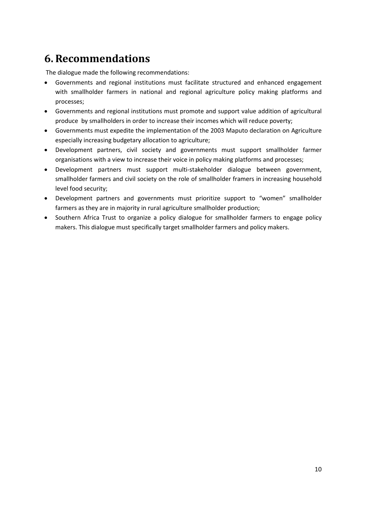#### <span id="page-9-0"></span>**6. Recommendations**

The dialogue made the following recommendations:

- Governments and regional institutions must facilitate structured and enhanced engagement with smallholder farmers in national and regional agriculture policy making platforms and processes;
- Governments and regional institutions must promote and support value addition of agricultural produce by smallholders in order to increase their incomes which will reduce poverty;
- Governments must expedite the implementation of the 2003 Maputo declaration on Agriculture especially increasing budgetary allocation to agriculture;
- Development partners, civil society and governments must support smallholder farmer organisations with a view to increase their voice in policy making platforms and processes;
- Development partners must support multi-stakeholder dialogue between government, smallholder farmers and civil society on the role of smallholder framers in increasing household level food security;
- Development partners and governments must prioritize support to "women" smallholder farmers as they are in majority in rural agriculture smallholder production;
- Southern Africa Trust to organize a policy dialogue for smallholder farmers to engage policy makers. This dialogue must specifically target smallholder farmers and policy makers.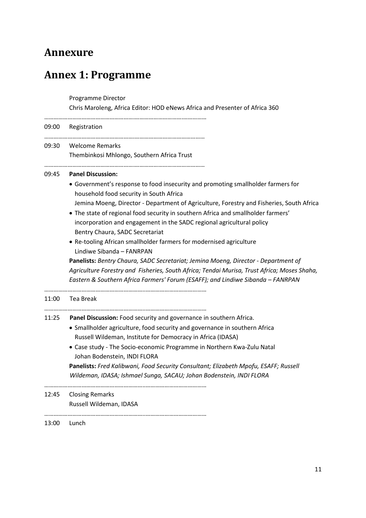#### <span id="page-10-0"></span>**Annexure**

# <span id="page-10-1"></span>**Annex 1: Programme**

Programme Director

Chris Maroleng, Africa Editor: HOD eNews Africa and Presenter of Africa 360

|       | 09:00 Registration                                                                                                                                                             |
|-------|--------------------------------------------------------------------------------------------------------------------------------------------------------------------------------|
| 09:30 | Welcome Remarks<br>Thembinkosi Mhlongo, Southern Africa Trust                                                                                                                  |
|       |                                                                                                                                                                                |
| 09:45 | <b>Panel Discussion:</b>                                                                                                                                                       |
|       | • Government's response to food insecurity and promoting smallholder farmers for<br>household food security in South Africa                                                    |
|       | Jemina Moeng, Director - Department of Agriculture, Forestry and Fisheries, South Africa                                                                                       |
|       | • The state of regional food security in southern Africa and smallholder farmers'<br>incorporation and engagement in the SADC regional agricultural policy                     |
|       | Bentry Chaura, SADC Secretariat                                                                                                                                                |
|       | • Re-tooling African smallholder farmers for modernised agriculture<br>Lindiwe Sibanda - FANRPAN                                                                               |
|       | Panelists: Bentry Chaura, SADC Secretariat; Jemina Moeng, Director - Department of                                                                                             |
|       | Agriculture Forestry and Fisheries, South Africa; Tendai Murisa, Trust Africa; Moses Shaha,<br>Eastern & Southern Africa Farmers' Forum (ESAFF); and Lindiwe Sibanda - FANRPAN |
| 11:00 | Tea Break                                                                                                                                                                      |
| 11:25 | Panel Discussion: Food security and governance in southern Africa.                                                                                                             |
|       | • Smallholder agriculture, food security and governance in southern Africa                                                                                                     |
|       | Russell Wildeman, Institute for Democracy in Africa (IDASA)                                                                                                                    |
|       | • Case study - The Socio-economic Programme in Northern Kwa-Zulu Natal                                                                                                         |
|       | Johan Bodenstein, INDI FLORA                                                                                                                                                   |
|       | Panelists: Fred Kalibwani, Food Security Consultant; Elizabeth Mpofu, ESAFF; Russell                                                                                           |
|       | Wildeman, IDASA; Ishmael Sunga, SACAU; Johan Bodenstein, INDI FLORA                                                                                                            |
| 12:45 | <b>Closing Remarks</b>                                                                                                                                                         |
|       | Russell Wildeman, IDASA                                                                                                                                                        |
| 13:00 | Lunch                                                                                                                                                                          |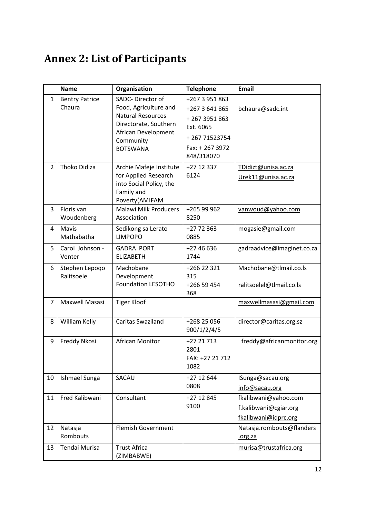## <span id="page-11-0"></span>**Annex 2: List of Participants**

|                | <b>Name</b>                     | Organisation                                                                                                                                          | <b>Telephone</b>                                                                                              | <b>Email</b>                                                          |
|----------------|---------------------------------|-------------------------------------------------------------------------------------------------------------------------------------------------------|---------------------------------------------------------------------------------------------------------------|-----------------------------------------------------------------------|
| $\mathbf{1}$   | <b>Bentry Patrice</b><br>Chaura | SADC-Director of<br>Food, Agriculture and<br><b>Natural Resources</b><br>Directorate, Southern<br>African Development<br>Community<br><b>BOTSWANA</b> | +267 3 951 863<br>+267 3 641 865<br>+2673951863<br>Ext. 6065<br>+26771523754<br>Fax: + 267 3972<br>848/318070 | bchaura@sadc.int                                                      |
| $\overline{2}$ | Thoko Didiza                    | Archie Mafeje Institute<br>for Applied Research<br>into Social Policy, the<br>Family and<br>Poverty(AMIFAM                                            | +27 12 337<br>6124                                                                                            | TDidizt@unisa.ac.za<br>Urek11@unisa.ac.za                             |
| 3              | Floris van<br>Woudenberg        | <b>Malawi Milk Producers</b><br>Association                                                                                                           | +265 99 962<br>8250                                                                                           | vanwoud@yahoo.com                                                     |
| 4              | Mavis<br>Mathabatha             | Sedikong sa Lerato<br><b>LIMPOPO</b>                                                                                                                  | +27 72 363<br>0885                                                                                            | mogasie@gmail.com                                                     |
| 5              | Carol Johnson -<br>Venter       | <b>GADRA PORT</b><br><b>ELIZABETH</b>                                                                                                                 | +27 46 636<br>1744                                                                                            | gadraadvice@imaginet.co.za                                            |
| 6              | Stephen Lepoqo<br>Ralitsoele    | Machobane<br>Development<br><b>Foundation LESOTHO</b>                                                                                                 | +266 22 321<br>315<br>+266 59 454<br>368                                                                      | Machobane@tlmail.co.ls<br>ralitsoelel@tlmail.co.ls                    |
| 7              | Maxwell Masasi                  | <b>Tiger Kloof</b>                                                                                                                                    |                                                                                                               | maxwellmasasi@gmail.com                                               |
| 8              | William Kelly                   | Caritas Swaziland                                                                                                                                     | +268 25 056<br>900/1/2/4/5                                                                                    | director@caritas.org.sz                                               |
| 9              | Freddy Nkosi                    | African Monitor                                                                                                                                       | +27 21 713<br>2801<br>FAX: +27 21 712<br>1082                                                                 | freddy@africanmonitor.org                                             |
| 10             | Ishmael Sunga                   | SACAU                                                                                                                                                 | +27 12 644<br>0808                                                                                            | ISunga@sacau.org<br>info@sacau.org                                    |
| 11             | Fred Kalibwani                  | Consultant                                                                                                                                            | +27 12 845<br>9100                                                                                            | fkalibwani@yahoo.com<br>f.kalibwani@cgiar.org<br>fkalibwani@idprc.org |
| 12             | Natasja<br>Rombouts             | <b>Flemish Government</b>                                                                                                                             |                                                                                                               | Natasja.rombouts@flanders<br><u>.org.za</u>                           |
| 13             | Tendai Murisa                   | <b>Trust Africa</b><br>(ZIMBABWE)                                                                                                                     |                                                                                                               | murisa@trustafrica.org                                                |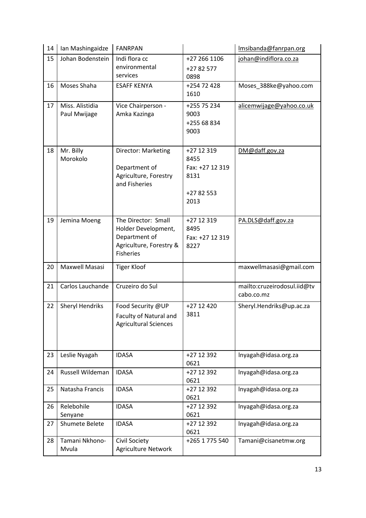| 14 | Ian Mashingaidze                | <b>FANRPAN</b>                                         |                         | Imsibanda@fanrpan.org       |
|----|---------------------------------|--------------------------------------------------------|-------------------------|-----------------------------|
| 15 | Johan Bodenstein                | Indi flora cc                                          | +27 266 1106            | johan@indiflora.co.za       |
|    |                                 | environmental<br>services                              | +27 82 577              |                             |
| 16 | Moses Shaha                     | <b>ESAFF KENYA</b>                                     | 0898<br>+254 72 428     | Moses_388ke@yahoo.com       |
|    |                                 |                                                        | 1610                    |                             |
| 17 | Miss. Alistidia<br>Paul Mwijage | Vice Chairperson -<br>Amka Kazinga                     | +255 75 234<br>9003     | alicemwijage@yahoo.co.uk    |
|    |                                 |                                                        | +255 68 834             |                             |
|    |                                 |                                                        | 9003                    |                             |
|    |                                 |                                                        |                         |                             |
| 18 | Mr. Billy                       | Director: Marketing                                    | +27 12 319              | DM@daff.gov.za              |
|    | Morokolo                        | Department of                                          | 8455<br>Fax: +27 12 319 |                             |
|    |                                 | Agriculture, Forestry<br>and Fisheries                 | 8131                    |                             |
|    |                                 |                                                        | +27 82 553              |                             |
|    |                                 |                                                        | 2013                    |                             |
|    |                                 |                                                        |                         |                             |
| 19 | Jemina Moeng                    | The Director: Small                                    | +27 12 319              | PA.DLS@daff.gov.za          |
|    |                                 | Holder Development,<br>Department of                   | 8495<br>Fax: +27 12 319 |                             |
|    |                                 | Agriculture, Forestry &                                | 8227                    |                             |
|    |                                 | <b>Fisheries</b>                                       |                         |                             |
| 20 | Maxwell Masasi                  | <b>Tiger Kloof</b>                                     |                         | maxwellmasasi@gmail.com     |
|    |                                 |                                                        |                         |                             |
| 21 | Carlos Lauchande                | Cruzeiro do Sul                                        |                         | mailto:cruzeirodosul.iid@tv |
|    |                                 |                                                        |                         | cabo.co.mz                  |
| 22 | <b>Sheryl Hendriks</b>          | Food Security @UP                                      | +27 12 420<br>3811      | Sheryl.Hendriks@up.ac.za    |
|    |                                 | Faculty of Natural and<br><b>Agricultural Sciences</b> |                         |                             |
|    |                                 |                                                        |                         |                             |
|    |                                 |                                                        |                         |                             |
| 23 | Leslie Nyagah                   | <b>IDASA</b>                                           | +27 12 392              | Inyagah@idasa.org.za        |
|    |                                 |                                                        | 0621                    |                             |
| 24 | Russell Wildeman                | <b>IDASA</b>                                           | +27 12 392<br>0621      | Inyagah@idasa.org.za        |
| 25 | Natasha Francis                 | <b>IDASA</b>                                           | +27 12 392              | Inyagah@idasa.org.za        |
|    |                                 |                                                        | 0621                    |                             |
| 26 | Relebohile                      | <b>IDASA</b>                                           | +27 12 392<br>0621      | Inyagah@idasa.org.za        |
| 27 | Senyane<br>Shumete Belete       | <b>IDASA</b>                                           | +27 12 392              | Inyagah@idasa.org.za        |
|    |                                 |                                                        | 0621                    |                             |
| 28 | Tamani Nkhono-                  | Civil Society                                          | +265 1 775 540          | Tamani@cisanetmw.org        |
|    | Mvula                           | <b>Agriculture Network</b>                             |                         |                             |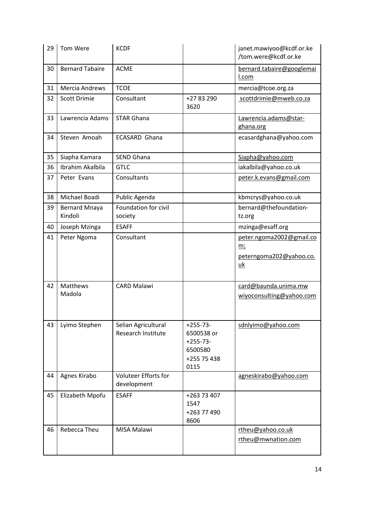| 29 | Tom Were                        | <b>KCDF</b>                                |                                                                          | janet.mawiyoo@kcdf.or.ke<br>/tom.were@kcdf.or.ke                              |
|----|---------------------------------|--------------------------------------------|--------------------------------------------------------------------------|-------------------------------------------------------------------------------|
| 30 | <b>Bernard Tabaire</b>          | <b>ACME</b>                                |                                                                          | bernard.tabaire@googlemai<br>l.com                                            |
| 31 | Mercia Andrews                  | <b>TCOE</b>                                |                                                                          | mercia@tcoe.org.za                                                            |
| 32 | <b>Scott Drimie</b>             | Consultant                                 | +27 83 290<br>3620                                                       | scottdrimie@mweb.co.za                                                        |
| 33 | Lawrencia Adams                 | <b>STAR Ghana</b>                          |                                                                          | Lawrencia.adams@star-<br>ghana.org                                            |
| 34 | Steven Amoah                    | <b>ECASARD Ghana</b>                       |                                                                          | ecasardghana@yahoo.com                                                        |
| 35 | Siapha Kamara                   | <b>SEND Ghana</b>                          |                                                                          | Siapha@yahoo.com                                                              |
| 36 | Ibrahim Akalbila                | <b>GTLC</b>                                |                                                                          | iakalbila@yahoo.co.uk                                                         |
| 37 | Peter Evans                     | Consultants                                |                                                                          | peter.k.evans@gmail.com                                                       |
| 38 | Michael Boadi                   | Public Agenda                              |                                                                          | kbmcrys@yahoo.co.uk                                                           |
| 39 | <b>Bernard Mnaya</b><br>Kindoli | Foundation for civil<br>society            |                                                                          | bernard@thefoundation-<br>tz.org                                              |
| 40 | Joseph Mzinga                   | <b>ESAFF</b>                               |                                                                          | mzinga@esaff.org                                                              |
| 41 | Peter Ngoma                     | Consultant                                 |                                                                          | peter.ngoma2002@gmail.co<br><u>m;</u><br>peterngoma202@yahoo.co.<br><u>uk</u> |
| 42 | Matthews<br>Madola              | <b>CARD Malawi</b>                         |                                                                          | card@baunda.unima.mw<br>wiyoconsulting@yahoo.com                              |
| 43 | Lyimo Stephen                   | Selian Agricultural<br>Research Institute  | $+255-73-$<br>6500538 or<br>$+255-73-$<br>6500580<br>+255 75 438<br>0115 | sdnlyimo@yahoo.com                                                            |
| 44 | Agnes Kirabo                    | <b>Voluteer Efforts for</b><br>development |                                                                          | agneskirabo@yahoo.com                                                         |
| 45 | Elizabeth Mpofu                 | <b>ESAFF</b>                               | +263 73 407<br>1547<br>+263 77 490<br>8606                               |                                                                               |
| 46 | Rebecca Theu                    | MISA Malawi                                |                                                                          | rtheu@yahoo.co.uk<br>rtheu@mwnation.com                                       |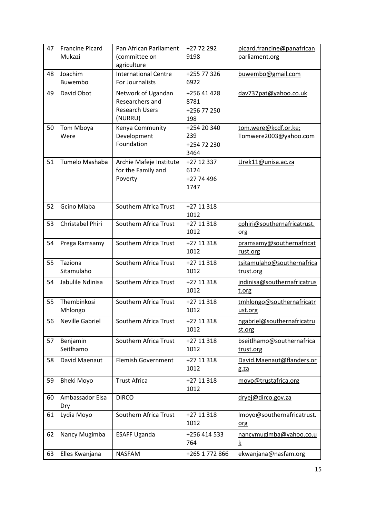| 47 | <b>Francine Picard</b><br>Mukazi | Pan African Parliament<br>(committee on<br>agriculture                    | +27 72 292<br>9198                        | picard.francine@panafrican<br>parliament.org  |
|----|----------------------------------|---------------------------------------------------------------------------|-------------------------------------------|-----------------------------------------------|
| 48 | Joachim<br>Buwembo               | <b>International Centre</b><br><b>For Journalists</b>                     | +255 77 326<br>6922                       | buwembo@gmail.com                             |
| 49 | David Obot                       | Network of Ugandan<br>Researchers and<br><b>Research Users</b><br>(NURRU) | +256 41 428<br>8781<br>+256 77 250<br>198 | dav737pat@yahoo.co.uk                         |
| 50 | Tom Mboya<br>Were                | Kenya Community<br>Development<br>Foundation                              | +254 20 340<br>239<br>+254 72 230<br>3464 | tom.were@kcdf.or.ke;<br>Tomwere2003@yahoo.com |
| 51 | Tumelo Mashaba                   | Archie Mafeje Institute<br>for the Family and<br>Poverty                  | +27 12 337<br>6124<br>+27 74 496<br>1747  | Urek11@unisa.ac.za                            |
| 52 | Gcino Mlaba                      | Southern Africa Trust                                                     | +27 11 318<br>1012                        |                                               |
| 53 | Christabel Phiri                 | Southern Africa Trust                                                     | +27 11 318<br>1012                        | cphiri@southernafricatrust.<br>org            |
| 54 | Prega Ramsamy                    | Southern Africa Trust                                                     | +27 11 318<br>1012                        | pramsamy@southernafricat<br>rust.org          |
| 55 | Taziona<br>Sitamulaho            | Southern Africa Trust                                                     | +27 11 318<br>1012                        | tsitamulaho@southernafrica<br>trust.org       |
| 54 | Jabulile Ndinisa                 | Southern Africa Trust                                                     | +27 11 318<br>1012                        | jndinisa@southernafricatrus<br>t.org          |
| 55 | Thembinkosi<br>Mhlongo           | Southern Africa Trust                                                     | +27 11 318<br>1012                        | tmhlongo@southernafricatr<br>ust.org          |
| 56 | Neville Gabriel                  | Southern Africa Trust                                                     | +27 11 318<br>1012                        | ngabriel@southernafricatru<br>st.org          |
| 57 | Benjamin<br>Seitlhamo            | Southern Africa Trust                                                     | +27 11 318<br>1012                        | bseitlhamo@southernafrica<br>trust.org        |
| 58 | David Maenaut                    | <b>Flemish Government</b>                                                 | +27 11 318<br>1012                        | David.Maenaut@flanders.or<br>g.za             |
| 59 | <b>Bheki Moyo</b>                | <b>Trust Africa</b>                                                       | +27 11 318<br>1012                        | moyo@trustafrica.org                          |
| 60 | Ambassador Elsa<br>Dry           | <b>DIRCO</b>                                                              |                                           | dryej@dirco.gov.za                            |
| 61 | Lydia Moyo                       | Southern Africa Trust                                                     | +27 11 318<br>1012                        | Imoyo@southernafricatrust.<br><u>org</u>      |
| 62 | Nancy Mugimba                    | <b>ESAFF Uganda</b>                                                       | +256 414 533<br>764                       | nancymugimba@yahoo.co.u<br><u>k</u>           |
| 63 | Elles Kwanjana                   | <b>NASFAM</b>                                                             | +265 1 772 866                            | ekwanjana@nasfam.org                          |